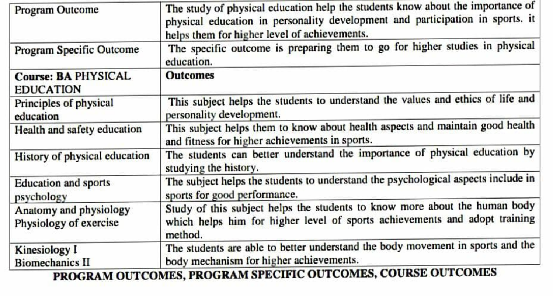| <b>Program Outcome</b>                                       | The study of physical education help the students know about the importance of<br>physical education in personality development and participation in sports. it<br>helps them for higher level of achievements. |
|--------------------------------------------------------------|-----------------------------------------------------------------------------------------------------------------------------------------------------------------------------------------------------------------|
| Program Specific Outcome                                     | The specific outcome is preparing them to go for higher studies in physical<br>education.                                                                                                                       |
| <b>Course: BA PHYSICAL</b><br><b>EDUCATION</b>               | <b>Outcomes</b>                                                                                                                                                                                                 |
| Principles of physical<br>education                          | This subject helps the students to understand the values and ethics of life and<br>personality development.                                                                                                     |
| Health and safety education                                  | This subject helps them to know about health aspects and maintain good health<br>and fitness for higher achievements in sports.                                                                                 |
| History of physical education                                | The students can better understand the importance of physical education by<br>studying the history.                                                                                                             |
| <b>Education</b> and sports<br>psychology                    | The subject helps the students to understand the psychological aspects include in<br>sports for good performance.                                                                                               |
| Anatomy and physiology<br>Physiology of exercise             | Study of this subject helps the students to know more about the human body<br>which helps him for higher level of sports achievements and adopt training<br>method.                                             |
| Kinesiology I<br><b>Biomechanics II</b>                      | The students are able to better understand the body movement in sports and the<br>body mechanism for higher achievements.                                                                                       |
| PROGRAM OUTCOMES, PROGRAM SPECIFIC OUTCOMES, COURSE OUTCOMES |                                                                                                                                                                                                                 |